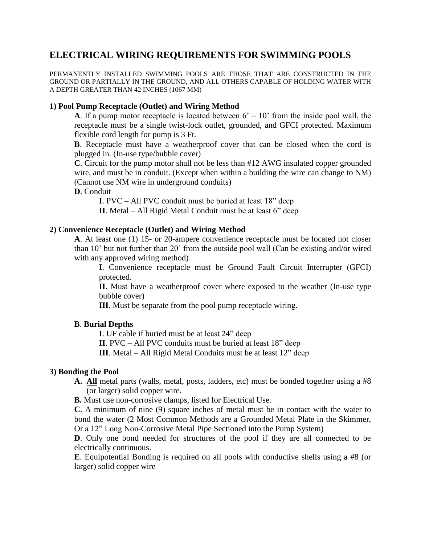## **ELECTRICAL WIRING REQUIREMENTS FOR SWIMMING POOLS**

PERMANENTLY INSTALLED SWIMMING POOLS ARE THOSE THAT ARE CONSTRUCTED IN THE GROUND OR PARTIALLY IN THE GROUND, AND ALL OTHERS CAPABLE OF HOLDING WATER WITH A DEPTH GREATER THAN 42 INCHES (1067 MM)

### **1) Pool Pump Receptacle (Outlet) and Wiring Method**

**A**. If a pump motor receptacle is located between  $6' - 10'$  from the inside pool wall, the receptacle must be a single twist-lock outlet, grounded, and GFCI protected. Maximum flexible cord length for pump is 3 Ft.

**B**. Receptacle must have a weatherproof cover that can be closed when the cord is plugged in. (In-use type/bubble cover)

**C**. Circuit for the pump motor shall not be less than #12 AWG insulated copper grounded wire, and must be in conduit. (Except when within a building the wire can change to NM) (Cannot use NM wire in underground conduits)

**D**. Conduit

**I**. PVC – All PVC conduit must be buried at least 18" deep

**II**. Metal – All Rigid Metal Conduit must be at least 6" deep

#### **2) Convenience Receptacle (Outlet) and Wiring Method**

**A**. At least one (1) 15- or 20-ampere convenience receptacle must be located not closer than 10' but not further than 20' from the outside pool wall (Can be existing and/or wired with any approved wiring method)

**I**. Convenience receptacle must be Ground Fault Circuit Interrupter (GFCI) protected.

**II**. Must have a weatherproof cover where exposed to the weather (In-use type bubble cover)

**III**. Must be separate from the pool pump receptacle wiring.

#### **B**. **Burial Depths**

**I**. UF cable if buried must be at least 24" deep

**II**. PVC – All PVC conduits must be buried at least 18" deep

**III**. Metal – All Rigid Metal Conduits must be at least 12" deep

#### **3) Bonding the Pool**

**A. All** metal parts (walls, metal, posts, ladders, etc) must be bonded together using a #8 (or larger) solid copper wire.

**B.** Must use non-corrosive clamps, listed for Electrical Use.

**C**. A minimum of nine (9) square inches of metal must be in contact with the water to bond the water (2 Most Common Methods are a Grounded Metal Plate in the Skimmer, Or a 12" Long Non-Corrosive Metal Pipe Sectioned into the Pump System)

**D**. Only one bond needed for structures of the pool if they are all connected to be electrically continuous.

**E**. Equipotential Bonding is required on all pools with conductive shells using a #8 (or larger) solid copper wire